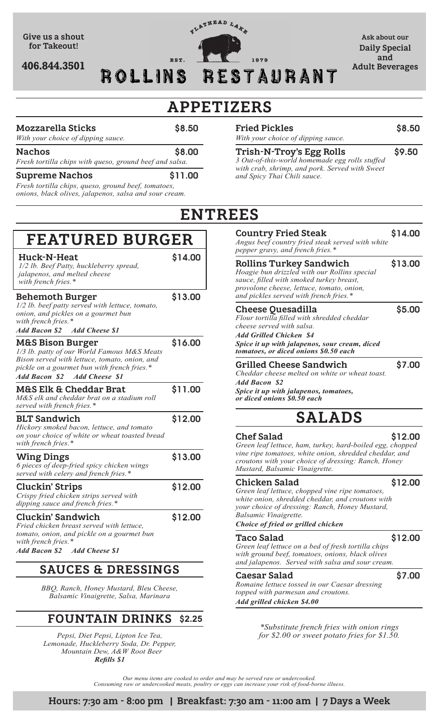

# **APPETIZERS**

#### **Mozzarella Sticks** \$8.50

*With your choice of dipping sauce.*

**Nachos** \$8.00 *Fresh tortilla chips with queso, ground beef and salsa.*

### **Supreme Nachos** \$11.00

*Fresh tortilla chips, queso, ground beef, tomatoes, onions, black olives, jalapenos, salsa and sour cream.*

**Behemoth Burger** \$13.00

**Huck-N-Heat** \$14.00

**FEATURED BURGER**

**M&S Bison Burger** \$16.00

**M&S Elk & Cheddar Brat** \$11.00

**BLT Sandwich** \$12.00

**Wing Dings**  $\qquad$  \$13.00

**Cluckin' Strips** \$12.00

**Cluckin' Sandwich** \$12.00

*1/2 lb. beef patty served with lettuce, tomato,* 

*1/3 lb. patty of our World Famous M&S Meats Bison served with lettuce, tomato, onion, and pickle on a gourmet bun with french fries.\**

*M&S elk and cheddar brat on a stadium roll* 

*Hickory smoked bacon, lettuce, and tomato on your choice of white or wheat toasted bread* 

*6 pieces of deep-fried spicy chicken wings served with celery and french fries.\**

*Crispy fried chicken strips served with dipping sauce and french fries.\**

*Fried chicken breast served with lettuce, tomato, onion, and pickle on a gourmet bun* 

*onion, and pickles on a gourmet bun* 

*1/2 lb. Beef Patty, huckleberry spread,* 

*Add Bacon \$2 Add Cheese \$1*

*jalapenos, and melted cheese* 

*Add Bacon \$2 Add Cheese \$1*

*served with french fries.\**

*with french fries.\**

*with french fries.\**

*with french fries.\**

| With your choice of dipping sauce. |        |
|------------------------------------|--------|
| <b>Fried Pickles</b>               | \$8.50 |

### **Trish-N-Troy's Egg Rolls** \$9.50

*3 Out-of-this-world homemade egg rolls stuffed with crab, shrimp, and pork. Served with Sweet and Spicy Thai Chili sauce.*

# **ENTREES**

#### **Country Fried Steak** \$14.00

*Angus beef country fried steak served with white pepper gravy, and french fries.\**

### **Rollins Turkey Sandwich** \$13.00

*Hoagie bun drizzled with our Rollins special sauce, filled with smoked turkey breast, provolone cheese, lettuce, tomato, onion, and pickles served with french fries.\**

#### **Cheese Quesadilla** \$5.00

*Flour tortilla filled with shredded cheddar cheese served with salsa. Add Grilled Chicken \$4*

*Spice it up with jalapenos, sour cream, diced tomatoes, or diced onions \$0.50 each*

### **Grilled Cheese Sandwich** \$7.00

*Cheddar cheese melted on white or wheat toast. Add Bacon \$2*

*Spice it up with jalapenos, tomatoes, or diced onions \$0.50 each*

# **SALADS**

### **Chef Salad** \$12.00

*Green leaf lettuce, ham, turkey, hard-boiled egg, chopped vine ripe tomatoes, white onion, shredded cheddar, and croutons with your choice of dressing: Ranch, Honey Mustard, Balsamic Vinaigrette.*

#### **Chicken Salad** \$12.00

*Green leaf lettuce, chopped vine ripe tomatoes, white onion, shredded cheddar, and croutons with your choice of dressing: Ranch, Honey Mustard, Balsamic Vinaigrette.*

#### *Choice of fried or grilled chicken*

#### **Taco Salad** \$12.00

*with french fries.\* Add Bacon \$2 Add Cheese \$1*

## **SAUCES & DRESSINGS**

*BBQ, Ranch, Honey Mustard, Bleu Cheese, Balsamic Vinaigrette, Salsa, Marinara*

#### **FOUNTAIN DRINKS** \$**2.25**

*Pepsi, Diet Pepsi, Lipton Ice Tea, Lemonade, Huckleberry Soda, Dr. Pepper, Mountain Dew, A&W Root Beer Refills \$1*

*Green leaf lettuce on a bed of fresh tortilla chips with ground beef, tomatoes, onions, black olives and jalapenos. Served with salsa and sour cream.*

#### **Caesar Salad** \$7.00

*Romaine lettuce tossed in our Caesar dressing topped with parmesan and croutons. Add grilled chicken \$4.00*

> *\*Substitute french fries with onion rings for \$2.00 or sweet potato fries for \$1.50.*

*Our menu items are cooked to order and may be served raw or undercooked. Consuming raw or undercooked meats, poultry or eggs can increase your risk of food-borne illness.*

**Hours: 7:30 am - 8:00 pm | Breakfast: 7:30 am - 11:00 am | 7 Days a Week**